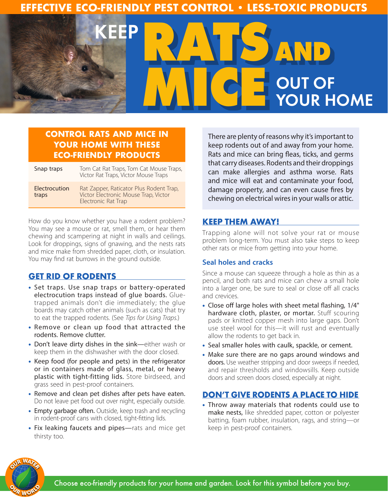# **EFFECTIVE ECO-FRIENDLY PEST CONTROL • LESS-TOXIC PRODUCTS**



## **CONTROL RATS AND MICE IN YOUR HOME WITH THESE ECO-FRIENDLY PRODUCTS**

| Snap traps             | Tom Cat Rat Traps, Tom Cat Mouse Traps,<br>Victor Rat Traps, Victor Mouse Traps                               |
|------------------------|---------------------------------------------------------------------------------------------------------------|
| Electrocution<br>traps | Rat Zapper, Raticator Plus Rodent Trap,<br>Victor Electronic Mouse Trap, Victor<br><b>Electronic Rat Trap</b> |

How do you know whether you have a rodent problem? You may see a mouse or rat, smell them, or hear them chewing and scampering at night in walls and ceilings. Look for droppings, signs of gnawing, and the nests rats and mice make from shredded paper, cloth, or insulation. You may find rat burrows in the ground outside.

## **GET RID OF RODENTS**

- Set traps. Use snap traps or battery-operated electrocution traps instead of glue boards. Gluetrapped animals don't die immediately; the glue boards may catch other animals (such as cats) that try to eat the trapped rodents. (See *Tips for Using Traps.*)
- Remove or clean up food that attracted the rodents. Remove clutter.
- Don't leave dirty dishes in the sink—either wash or keep them in the dishwasher with the door closed.
- Keep food (for people and pets) in the refrigerator or in containers made of glass, metal, or heavy plastic with tight-fitting lids. Store birdseed, and grass seed in pest-proof containers.
- Remove and clean pet dishes after pets have eaten. Do not leave pet food out over night, especially outside.
- Empty garbage often. Outside, keep trash and recycling in rodent-proof cans with closed, tight-fitting lids.
- Fix leaking faucets and pipes—rats and mice get thirsty too.

There are plenty of reasons why it's important to keep rodents out of and away from your home. Rats and mice can bring fleas, ticks, and germs that carry diseases. Rodents and their droppings can make allergies and asthma worse. Rats and mice will eat and contaminate your food, damage property, and can even cause fires by chewing on electrical wires in your walls or attic.

### **KEEP THEM AWAY!**

Trapping alone will not solve your rat or mouse problem long-term. You must also take steps to keep other rats or mice from getting into your home.

#### **Seal holes and cracks**

Since a mouse can squeeze through a hole as thin as a pencil, and both rats and mice can chew a small hole into a larger one, be sure to seal or close off all cracks and crevices.

- Close off large holes with sheet metal flashing, 1/4" hardware cloth, plaster, or mortar. Stuff scouring pads or knitted copper mesh into large gaps. Don't use steel wool for this—it will rust and eventually allow the rodents to get back in.
- Seal smaller holes with caulk, spackle, or cement.
- Make sure there are no gaps around windows and doors. Use weather stripping and door sweeps if needed, and repair thresholds and windowsills. Keep outside doors and screen doors closed, especially at night.

## **DON'T GIVE RODENTS A PLACE TO HIDE**

• Throw away materials that rodents could use to make nests, like shredded paper, cotton or polyester batting, foam rubber, insulation, rags, and string—or keep in pest-proof containers.